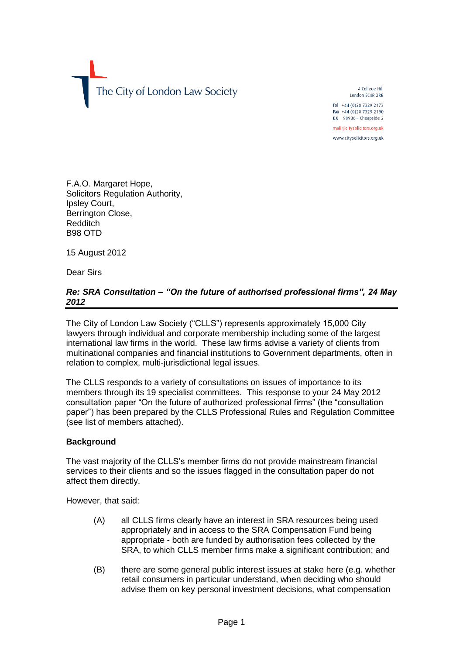The City of London Law Society

4 College Hill London EC4R 2RB Tel +44 (0)20 7329 2173

Fax +44 (0)20 7329 2190 DX  $98936$  - Cheapside 2 mail@citysolicitors.org.uk

www.citysolicitors.org.uk

F.A.O. Margaret Hope, Solicitors Regulation Authority, Ipsley Court, Berrington Close, Redditch B98 OTD

15 August 2012

Dear Sirs

# *Re: SRA Consultation – "On the future of authorised professional firms", 24 May 2012*

The City of London Law Society ("CLLS") represents approximately 15,000 City lawyers through individual and corporate membership including some of the largest international law firms in the world. These law firms advise a variety of clients from multinational companies and financial institutions to Government departments, often in relation to complex, multi-jurisdictional legal issues.

The CLLS responds to a variety of consultations on issues of importance to its members through its 19 specialist committees. This response to your 24 May 2012 consultation paper "On the future of authorized professional firms" (the "consultation paper") has been prepared by the CLLS Professional Rules and Regulation Committee (see list of members attached).

#### **Background**

The vast majority of the CLLS's member firms do not provide mainstream financial services to their clients and so the issues flagged in the consultation paper do not affect them directly.

However, that said:

- (A) all CLLS firms clearly have an interest in SRA resources being used appropriately and in access to the SRA Compensation Fund being appropriate - both are funded by authorisation fees collected by the SRA, to which CLLS member firms make a significant contribution; and
- (B) there are some general public interest issues at stake here (e.g. whether retail consumers in particular understand, when deciding who should advise them on key personal investment decisions, what compensation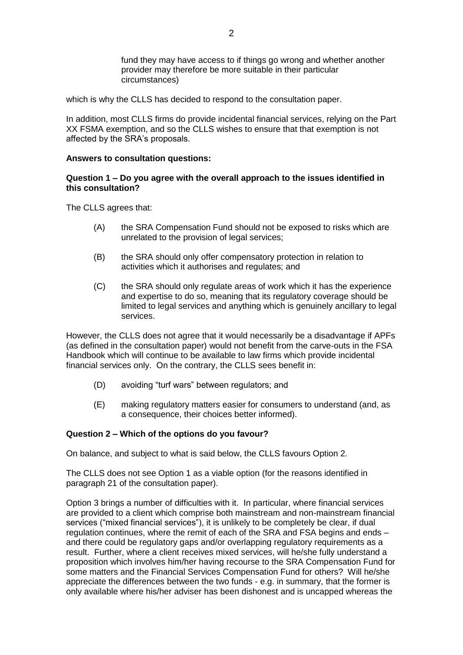fund they may have access to if things go wrong and whether another provider may therefore be more suitable in their particular circumstances)

which is why the CLLS has decided to respond to the consultation paper.

In addition, most CLLS firms do provide incidental financial services, relying on the Part XX FSMA exemption, and so the CLLS wishes to ensure that that exemption is not affected by the SRA's proposals.

#### **Answers to consultation questions:**

#### **Question 1 – Do you agree with the overall approach to the issues identified in this consultation?**

The CLLS agrees that:

- (A) the SRA Compensation Fund should not be exposed to risks which are unrelated to the provision of legal services;
- (B) the SRA should only offer compensatory protection in relation to activities which it authorises and regulates; and
- (C) the SRA should only regulate areas of work which it has the experience and expertise to do so, meaning that its regulatory coverage should be limited to legal services and anything which is genuinely ancillary to legal services.

However, the CLLS does not agree that it would necessarily be a disadvantage if APFs (as defined in the consultation paper) would not benefit from the carve-outs in the FSA Handbook which will continue to be available to law firms which provide incidental financial services only. On the contrary, the CLLS sees benefit in:

- (D) avoiding "turf wars" between regulators; and
- (E) making regulatory matters easier for consumers to understand (and, as a consequence, their choices better informed).

#### **Question 2 – Which of the options do you favour?**

On balance, and subject to what is said below, the CLLS favours Option 2.

The CLLS does not see Option 1 as a viable option (for the reasons identified in paragraph 21 of the consultation paper).

Option 3 brings a number of difficulties with it. In particular, where financial services are provided to a client which comprise both mainstream and non-mainstream financial services ("mixed financial services"), it is unlikely to be completely be clear, if dual regulation continues, where the remit of each of the SRA and FSA begins and ends – and there could be regulatory gaps and/or overlapping regulatory requirements as a result. Further, where a client receives mixed services, will he/she fully understand a proposition which involves him/her having recourse to the SRA Compensation Fund for some matters and the Financial Services Compensation Fund for others? Will he/she appreciate the differences between the two funds - e.g. in summary, that the former is only available where his/her adviser has been dishonest and is uncapped whereas the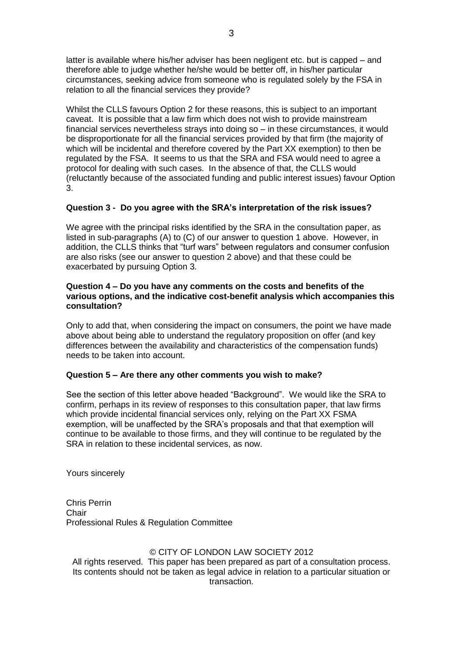latter is available where his/her adviser has been negligent etc. but is capped – and therefore able to judge whether he/she would be better off, in his/her particular circumstances, seeking advice from someone who is regulated solely by the FSA in relation to all the financial services they provide?

Whilst the CLLS favours Option 2 for these reasons, this is subject to an important caveat. It is possible that a law firm which does not wish to provide mainstream financial services nevertheless strays into doing so – in these circumstances, it would be disproportionate for all the financial services provided by that firm (the majority of which will be incidental and therefore covered by the Part XX exemption) to then be regulated by the FSA. It seems to us that the SRA and FSA would need to agree a protocol for dealing with such cases. In the absence of that, the CLLS would (reluctantly because of the associated funding and public interest issues) favour Option 3.

# **Question 3 - Do you agree with the SRA's interpretation of the risk issues?**

We agree with the principal risks identified by the SRA in the consultation paper, as listed in sub-paragraphs (A) to (C) of our answer to question 1 above. However, in addition, the CLLS thinks that "turf wars" between regulators and consumer confusion are also risks (see our answer to question 2 above) and that these could be exacerbated by pursuing Option 3.

### **Question 4 – Do you have any comments on the costs and benefits of the various options, and the indicative cost-benefit analysis which accompanies this consultation?**

Only to add that, when considering the impact on consumers, the point we have made above about being able to understand the regulatory proposition on offer (and key differences between the availability and characteristics of the compensation funds) needs to be taken into account.

# **Question 5 – Are there any other comments you wish to make?**

See the section of this letter above headed "Background". We would like the SRA to confirm, perhaps in its review of responses to this consultation paper, that law firms which provide incidental financial services only, relying on the Part XX FSMA exemption, will be unaffected by the SRA's proposals and that that exemption will continue to be available to those firms, and they will continue to be regulated by the SRA in relation to these incidental services, as now.

Yours sincerely

Chris Perrin **Chair** Professional Rules & Regulation Committee

# © CITY OF LONDON LAW SOCIETY 2012

All rights reserved. This paper has been prepared as part of a consultation process. Its contents should not be taken as legal advice in relation to a particular situation or transaction.